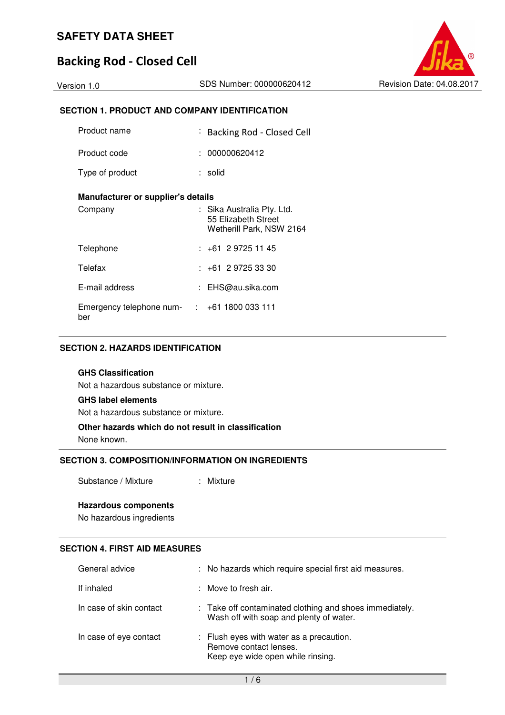# **Backing Rod - Closed Cell**



# **SECTION 1. PRODUCT AND COMPANY IDENTIFICATION**

| Product name                                             | <b>Backing Rod - Closed Cell</b>                                              |
|----------------------------------------------------------|-------------------------------------------------------------------------------|
| Product code                                             | 000000620412                                                                  |
| Type of product                                          | : solid                                                                       |
| Manufacturer or supplier's details                       |                                                                               |
| Company                                                  | : Sika Australia Pty. Ltd.<br>55 Elizabeth Street<br>Wetherill Park, NSW 2164 |
| Telephone                                                | $: +61297251145$                                                              |
| Telefax                                                  | : 461297253330                                                                |
| E-mail address                                           | : EHS@au.sika.com                                                             |
| Emergency telephone num- $\cdot$ +61 1800 033 111<br>ber |                                                                               |

# **SECTION 2. HAZARDS IDENTIFICATION**

# **GHS Classification**

Not a hazardous substance or mixture.

#### **GHS label elements**

Not a hazardous substance or mixture.

# **Other hazards which do not result in classification**

None known.

# **SECTION 3. COMPOSITION/INFORMATION ON INGREDIENTS**

Substance / Mixture : Mixture

## **Hazardous components**

No hazardous ingredients

## **SECTION 4. FIRST AID MEASURES**

| General advice          | : No hazards which require special first aid measures.                                                  |
|-------------------------|---------------------------------------------------------------------------------------------------------|
| If inhaled              | $:$ Move to fresh air.                                                                                  |
| In case of skin contact | : Take off contaminated clothing and shoes immediately.<br>Wash off with soap and plenty of water.      |
| In case of eye contact  | : Flush eyes with water as a precaution.<br>Remove contact lenses.<br>Keep eye wide open while rinsing. |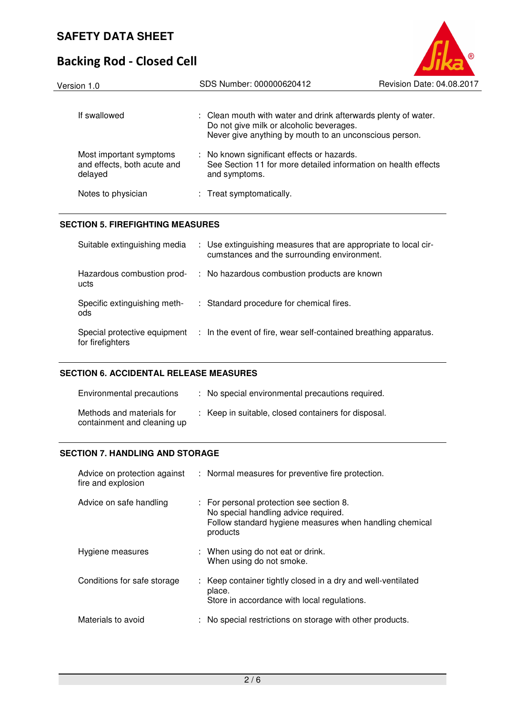# **Backing Rod - Closed Cell**

| Version 1.0                                                       | SDS Number: 000000620412                                                                                                                                             | Revision Date: 04.08.2017 |
|-------------------------------------------------------------------|----------------------------------------------------------------------------------------------------------------------------------------------------------------------|---------------------------|
| If swallowed                                                      | : Clean mouth with water and drink afterwards plenty of water.<br>Do not give milk or alcoholic beverages.<br>Never give anything by mouth to an unconscious person. |                           |
| Most important symptoms<br>and effects, both acute and<br>delayed | : No known significant effects or hazards.<br>See Section 11 for more detailed information on health effects<br>and symptoms.                                        |                           |
| Notes to physician                                                | : Treat symptomatically.                                                                                                                                             |                           |

# **SECTION 5. FIREFIGHTING MEASURES**

| Suitable extinguishing media        | : Use extinguishing measures that are appropriate to local cir-<br>cumstances and the surrounding environment. |
|-------------------------------------|----------------------------------------------------------------------------------------------------------------|
| Hazardous combustion prod-<br>ucts  | : No hazardous combustion products are known                                                                   |
| Specific extinguishing meth-<br>ods | : Standard procedure for chemical fires.                                                                       |
| for firefighters                    | Special protective equipment : In the event of fire, wear self-contained breathing apparatus.                  |

## **SECTION 6. ACCIDENTAL RELEASE MEASURES**

| Environmental precautions                                | : No special environmental precautions required.    |
|----------------------------------------------------------|-----------------------------------------------------|
| Methods and materials for<br>containment and cleaning up | : Keep in suitable, closed containers for disposal. |

# **SECTION 7. HANDLING AND STORAGE**

| Advice on protection against<br>fire and explosion | : Normal measures for preventive fire protection.                                                                                                       |
|----------------------------------------------------|---------------------------------------------------------------------------------------------------------------------------------------------------------|
| Advice on safe handling                            | : For personal protection see section 8.<br>No special handling advice required.<br>Follow standard hygiene measures when handling chemical<br>products |
| Hygiene measures                                   | : When using do not eat or drink.<br>When using do not smoke.                                                                                           |
| Conditions for safe storage                        | : Keep container tightly closed in a dry and well-ventilated<br>place.<br>Store in accordance with local regulations.                                   |
| Materials to avoid                                 | : No special restrictions on storage with other products.                                                                                               |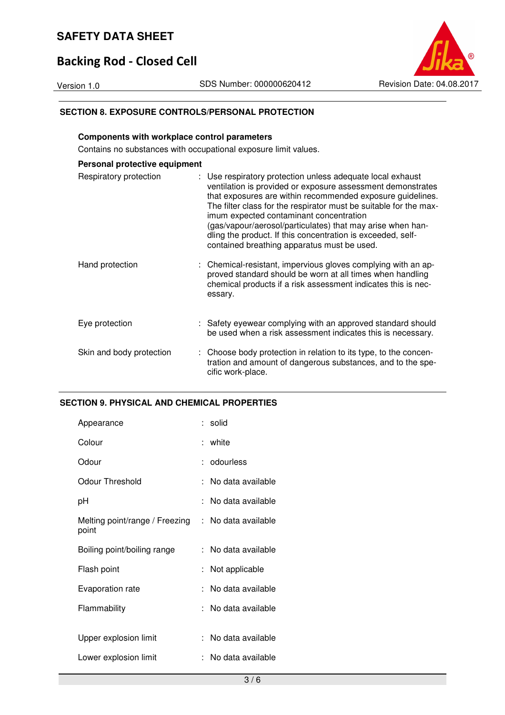# **Backing Rod - Closed Cell**



# **SECTION 8. EXPOSURE CONTROLS/PERSONAL PROTECTION**

# **Components with workplace control parameters**

Contains no substances with occupational exposure limit values.

| Personal protective equipment |                                                                                                                                                                                                                                                                                                                                                                                                                                                                                     |
|-------------------------------|-------------------------------------------------------------------------------------------------------------------------------------------------------------------------------------------------------------------------------------------------------------------------------------------------------------------------------------------------------------------------------------------------------------------------------------------------------------------------------------|
| Respiratory protection        | : Use respiratory protection unless adequate local exhaust<br>ventilation is provided or exposure assessment demonstrates<br>that exposures are within recommended exposure guidelines.<br>The filter class for the respirator must be suitable for the max-<br>imum expected contaminant concentration<br>(gas/vapour/aerosol/particulates) that may arise when han-<br>dling the product. If this concentration is exceeded, self-<br>contained breathing apparatus must be used. |
| Hand protection               | : Chemical-resistant, impervious gloves complying with an ap-<br>proved standard should be worn at all times when handling<br>chemical products if a risk assessment indicates this is nec-<br>essary.                                                                                                                                                                                                                                                                              |
| Eye protection                | : Safety eyewear complying with an approved standard should<br>be used when a risk assessment indicates this is necessary.                                                                                                                                                                                                                                                                                                                                                          |
| Skin and body protection      | : Choose body protection in relation to its type, to the concen-<br>tration and amount of dangerous substances, and to the spe-<br>cific work-place.                                                                                                                                                                                                                                                                                                                                |

## **SECTION 9. PHYSICAL AND CHEMICAL PROPERTIES**

| Appearance                              | : solid             |
|-----------------------------------------|---------------------|
| Colour                                  | : white             |
| Odour                                   | : odourless         |
| Odour Threshold                         | : No data available |
| рH                                      | No data available   |
| Melting point/range / Freezing<br>point | : No data available |
|                                         |                     |
| Boiling point/boiling range             | : No data available |
| Flash point                             | Not applicable      |
| <b>Evaporation rate</b>                 | No data available   |
| Flammability                            | : No data available |
|                                         |                     |
| Upper explosion limit                   | No data available   |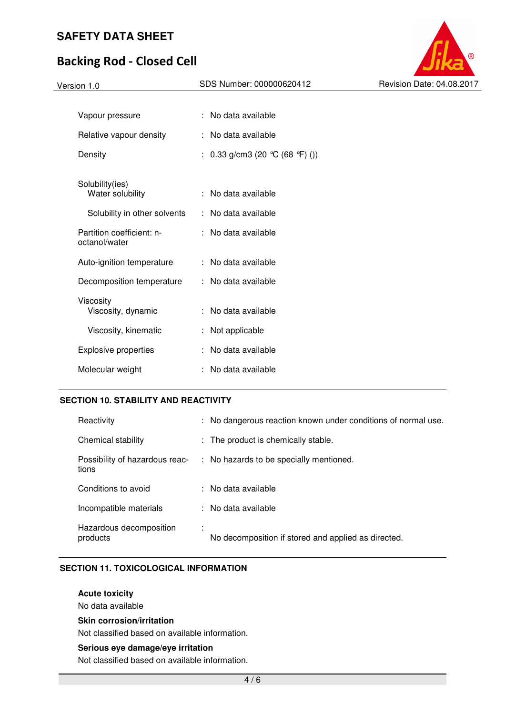# **Backing Rod - Closed Cell**



| Vapour pressure                            | : No data available               |
|--------------------------------------------|-----------------------------------|
| Relative vapour density                    | : No data available               |
| Density                                    | : $0.33$ g/cm3 (20 °C (68 °F) ()) |
| Solubility(ies)<br>Water solubility        | : No data available               |
| Solubility in other solvents               | : No data available               |
| Partition coefficient: n-<br>octanol/water | : No data available               |
| Auto-ignition temperature                  | : No data available               |
| Decomposition temperature                  | : No data available               |
| Viscosity<br>Viscosity, dynamic            | : No data available               |
| Viscosity, kinematic                       | : Not applicable                  |
| <b>Explosive properties</b>                | : No data available               |
| Molecular weight                           | No data available                 |
|                                            |                                   |

# **SECTION 10. STABILITY AND REACTIVITY**

| Reactivity                              |        | : No dangerous reaction known under conditions of normal use. |
|-----------------------------------------|--------|---------------------------------------------------------------|
| Chemical stability                      |        | : The product is chemically stable.                           |
| Possibility of hazardous reac-<br>tions |        | : No hazards to be specially mentioned.                       |
| Conditions to avoid                     |        | : No data available                                           |
| Incompatible materials                  |        | : No data available                                           |
| Hazardous decomposition<br>products     | ٠<br>× | No decomposition if stored and applied as directed.           |

# **SECTION 11. TOXICOLOGICAL INFORMATION**

**Acute toxicity** 

No data available

# **Skin corrosion/irritation**

Not classified based on available information.

# **Serious eye damage/eye irritation**

Not classified based on available information.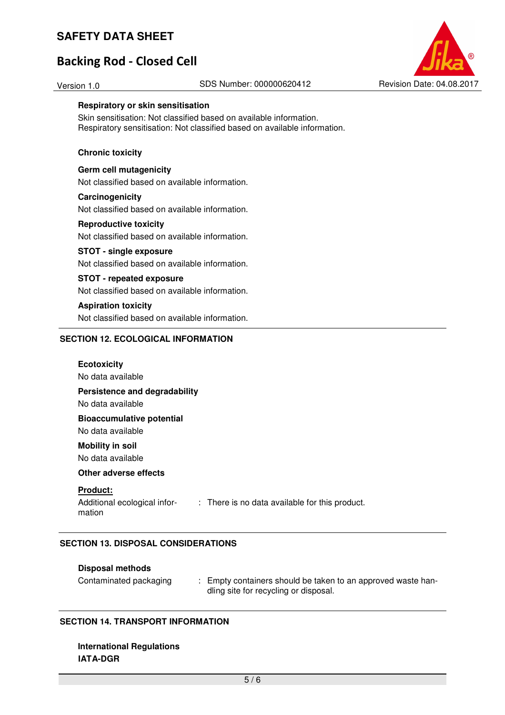# **Backing Rod - Closed Cell**

## Version 1.0 SDS Number: 000000620412 Revision Date: 04.08.2017



#### **Respiratory or skin sensitisation**

Skin sensitisation: Not classified based on available information. Respiratory sensitisation: Not classified based on available information.

#### **Chronic toxicity**

**Germ cell mutagenicity**  Not classified based on available information.

#### **Carcinogenicity**

Not classified based on available information.

#### **Reproductive toxicity**

Not classified based on available information.

#### **STOT - single exposure**

Not classified based on available information.

#### **STOT - repeated exposure**

Not classified based on available information.

#### **Aspiration toxicity**

Not classified based on available information.

#### **SECTION 12. ECOLOGICAL INFORMATION**

| <b>Ecotoxicity</b><br>No data available                                                                     |
|-------------------------------------------------------------------------------------------------------------|
| Persistence and degradability<br>No data available                                                          |
| <b>Bioaccumulative potential</b><br>No data available                                                       |
| <b>Mobility in soil</b><br>No data available                                                                |
| Other adverse effects                                                                                       |
| <b>Product:</b><br>Additional ecological infor-<br>: There is no data available for this product.<br>mation |

## **SECTION 13. DISPOSAL CONSIDERATIONS**

## **Disposal methods**

Contaminated packaging : Empty containers should be taken to an approved waste handling site for recycling or disposal.

# **SECTION 14. TRANSPORT INFORMATION**

**International Regulations IATA-DGR**